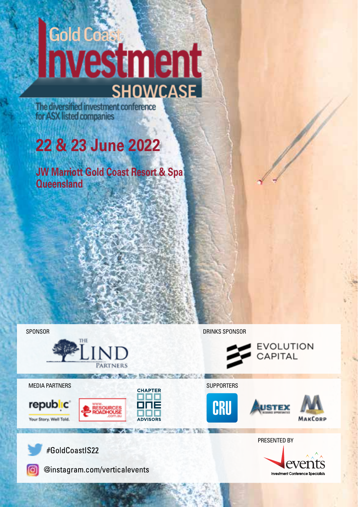# **Gold Coast SHOWCASE**

The diversified investment conference for ASX listed companies

## **22 & 23 June 2022**

**JW Marriott Gold Coast Resort & Spa Queensland**

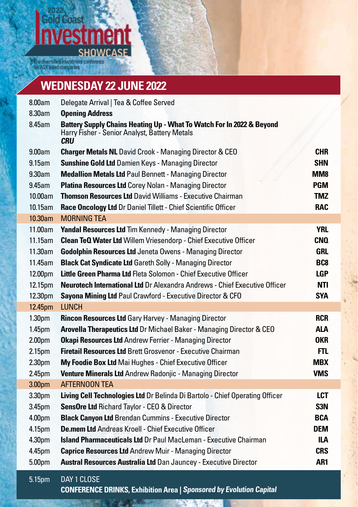### **Sold Coast** fm ent ρ **SHOWCASE**

.<br>The diversified investment conference<br>or ASX listed companies

### **WEDNESDAY 22 JUNE 2022**

| 8.00am             | Delegate Arrival   Tea & Coffee Served                                                                                               |                  |
|--------------------|--------------------------------------------------------------------------------------------------------------------------------------|------------------|
| 8.30am             | <b>Opening Address</b>                                                                                                               |                  |
| 8.45am             | Battery Supply Chains Heating Up - What To Watch For In 2022 & Beyond<br>Harry Fisher - Senior Analyst, Battery Metals<br><b>CRU</b> |                  |
| 9.00am             | <b>Charger Metals NL</b> David Crook - Managing Director & CEO                                                                       | <b>CHR</b>       |
| 9.15am             | <b>Sunshine Gold Ltd Damien Keys - Managing Director</b>                                                                             | <b>SHN</b>       |
| 9.30am             | <b>Medallion Metals Ltd Paul Bennett - Managing Director</b>                                                                         | MM <sub>8</sub>  |
| 9.45am             | Platina Resources Ltd Corey Nolan - Managing Director                                                                                | <b>PGM</b>       |
| 10.00am            | Thomson Resources Ltd David Williams - Executive Chairman                                                                            | <b>TMZ</b>       |
| $10.15$ am         | Race Oncology Ltd Dr Daniel Tillett - Chief Scientific Officer                                                                       | <b>RAC</b>       |
| $10.30$ am         | <b>MORNING TEA</b>                                                                                                                   |                  |
| 11.00am            | Yandal Resources Ltd Tim Kennedy - Managing Director                                                                                 | <b>YRL</b>       |
| 11.15am            | Clean TeQ Water Ltd Willem Vriesendorp - Chief Executive Officer                                                                     | <b>CNQ</b>       |
| 11.30am            | <b>Godolphin Resources Ltd Jeneta Owens - Managing Director</b>                                                                      | <b>GRL</b>       |
| 11.45am            | <b>Black Cat Syndicate Ltd Gareth Solly - Managing Director</b>                                                                      | BC <sub>8</sub>  |
| 12.00pm            | Little Green Pharma Ltd Fleta Solomon - Chief Executive Officer                                                                      | <b>LGP</b>       |
| 12.15pm            | Neurotech International Ltd Dr Alexandra Andrews - Chief Executive Officer                                                           | <b>NTI</b>       |
| 12.30pm            | Sayona Mining Ltd Paul Crawford - Executive Director & CFO                                                                           | <b>SYA</b>       |
| 12.45pm            | <b>LUNCH</b>                                                                                                                         |                  |
| 1.30 <sub>pm</sub> | <b>Rincon Resources Ltd Gary Harvey - Managing Director</b>                                                                          | <b>RCR</b>       |
| 1.45 <sub>pm</sub> | Arovella Therapeutics Ltd Dr Michael Baker - Managing Director & CEO                                                                 | <b>ALA</b>       |
| 2.00 <sub>pm</sub> | <b>Okapi Resources Ltd Andrew Ferrier - Managing Director</b>                                                                        | OKR              |
| 2.15 <sub>pm</sub> | <b>Firetail Resources Ltd Brett Grosvenor - Executive Chairman</b>                                                                   | FTL.             |
| 2.30pm             | My Foodie Box Ltd Mai Hughes - Chief Executive Officer                                                                               | <b>MBX</b>       |
| 2.45pm             | Venture Minerals Ltd Andrew Radonjic - Managing Director                                                                             | <b>VMS</b>       |
| 3.00pm             | AFTERNOON TEA                                                                                                                        |                  |
| 3.30pm             | Living Cell Technologies Ltd Dr Belinda Di Bartolo - Chief Operating Officer                                                         | LCT              |
| 3.45pm             | SensOre Ltd Richard Taylor - CEO & Director                                                                                          | S <sub>3</sub> N |
| 4.00pm             | <b>Black Canyon Ltd Brendan Cummins - Executive Director</b>                                                                         | <b>BCA</b>       |
| 4.15pm             | De.mem Ltd Andreas Kroell - Chief Executive Officer                                                                                  | <b>DEM</b>       |
| 4.30pm             | <b>Island Pharmaceuticals Ltd</b> Dr Paul MacLeman - Executive Chairman                                                              | ILA              |
| 4.45pm             | <b>Caprice Resources Ltd Andrew Muir - Managing Director</b>                                                                         | <b>CRS</b>       |
| 5.00pm             | Austral Resources Australia Ltd Dan Jauncey - Executive Director                                                                     | AR <sub>1</sub>  |
| 5.15pm             | DAY 1 CLOSE                                                                                                                          |                  |

**CONFERENCE DRINKS, Exhibition Area | Sponsored by Evolution Capital**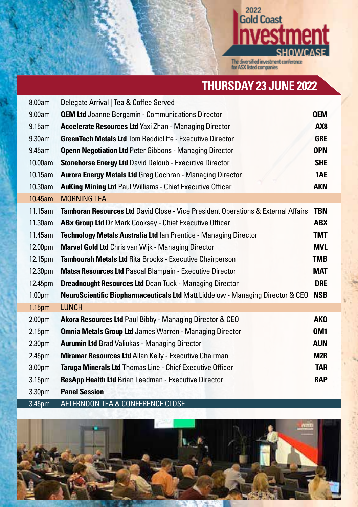## <sup>2022</sup><br>Gold Coast men **SHOWCASE**

The diversified investment conference<br>for ASX listed companies

### **THURSDAY 23 JUNE 2022**

| 8.00am             | Delegate Arrival   Tea & Coffee Served                                                   |                 |
|--------------------|------------------------------------------------------------------------------------------|-----------------|
| 9.00am             | <b>QEM Ltd</b> Joanne Bergamin - Communications Director                                 | <b>QEM</b>      |
| 9.15am             | <b>Accelerate Resources Ltd Yaxi Zhan - Managing Director</b>                            | AX <sub>8</sub> |
| 9.30am             | <b>GreenTech Metals Ltd Tom Reddicliffe - Executive Director</b>                         | <b>GRE</b>      |
| 9.45am             | <b>Openn Negotiation Ltd Peter Gibbons - Managing Director</b>                           | <b>OPN</b>      |
| 10.00am            | <b>Stonehorse Energy Ltd David Deloub - Executive Director</b>                           | <b>SHE</b>      |
| 10.15am            | <b>Aurora Energy Metals Ltd Greg Cochran - Managing Director</b>                         | 1AE             |
| 10.30am            | <b>AuKing Mining Ltd Paul Williams - Chief Executive Officer</b>                         | <b>AKN</b>      |
| 10.45am            | <b>MORNING TEA</b>                                                                       |                 |
| $11.15$ am         | <b>Tamboran Resources Ltd</b> David Close - Vice President Operations & External Affairs | <b>TBN</b>      |
| 11.30am            | ABx Group Ltd Dr Mark Cooksey - Chief Executive Officer                                  | <b>ABX</b>      |
| 11.45am            | Technology Metals Australia Ltd Ian Prentice - Managing Director                         | <b>TMT</b>      |
| 12.00pm            | <b>Marvel Gold Ltd</b> Chris van Wijk - Managing Director                                | <b>MVL</b>      |
| 12.15pm            | <b>Tambourah Metals Ltd Rita Brooks - Executive Chairperson</b>                          | <b>TMB</b>      |
| 12.30pm            | <b>Matsa Resources Ltd Pascal Blampain - Executive Director</b>                          | <b>MAT</b>      |
| 12.45pm            | <b>Dreadnought Resources Ltd Dean Tuck - Managing Director</b>                           | <b>DRE</b>      |
| 1.00 <sub>pm</sub> | NeuroScientific Biopharmaceuticals Ltd Matt Liddelow - Managing Director & CEO           | <b>NSB</b>      |
| 1.15 <sub>pm</sub> | <b>LUNCH</b>                                                                             |                 |
| 2.00 <sub>pm</sub> | <b>Akora Resources Ltd Paul Bibby - Managing Director &amp; CEO</b>                      | <b>AKO</b>      |
| 2.15 <sub>pm</sub> | <b>Omnia Metals Group Ltd James Warren - Managing Director</b>                           | <b>OM1</b>      |
| 2.30 <sub>pm</sub> | <b>Aurumin Ltd Brad Valiukas - Managing Director</b>                                     | <b>AUN</b>      |
| 2.45pm             | <b>Miramar Resources Ltd Allan Kelly - Executive Chairman</b>                            | M <sub>2R</sub> |
| 3.00 <sub>pm</sub> | Taruga Minerals Ltd Thomas Line - Chief Executive Officer                                | <b>TAR</b>      |
| 3.15pm             | ResApp Health Ltd Brian Leedman - Executive Director                                     | <b>RAP</b>      |
| 3.30pm             | <b>Panel Session</b>                                                                     |                 |
| 3.45pm             | AFTERNOON TEA & CONFERENCE CLOSE                                                         |                 |

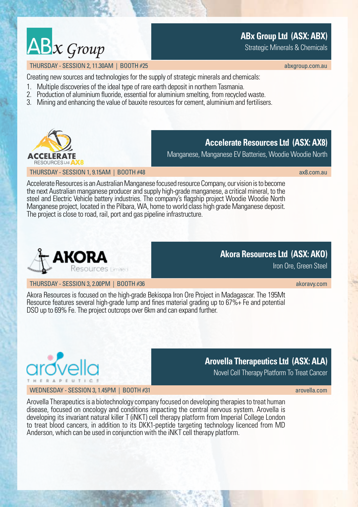## $ABx$  Group

### **ABx Group Ltd (ASX: ABX)**

Strategic Minerals & Chemicals

### THURSDAY - SESSION 2, 11.30AM | BOOTH #25 [abxgroup.com.au](http://abxgroup.com.au) abxgroup.com.au abxgroup.com.au

Creating new sources and technologies for the supply of strategic minerals and chemicals:

- 1. Multiple discoveries of the ideal type of rare earth deposit in northern Tasmania.
- 2. Production of aluminium fluoride, essential for aluminium smelting, from recycled waste.
- 3. Mining and enhancing the value of bauxite resources for cement, aluminium and fertilisers.



### **Accelerate Resources Ltd (ASX: AX8)**

Manganese, Manganese EV Batteries, Woodie Woodie North

THURSDAY - SESSION 1.9.15AM | BOOTH #48 [ax8.com.au](http://ax8.com.au) Ax8.com.au Ax8.com.au Ax8.com.au Ax8.com.au Ax8.com.au Ax8.com.au

Accelerate Resources is an Australian Manganese focused resource Company, our vision is to become the next Australian manganese producer and supply high-grade manganese, a critical mineral, to the steel and Electric Vehicle battery industries. The company's flagship project Woodie Woodie North Manganese project, located in the Pilbara, WA, home to world class high grade Manganese deposit. The project is close to road, rail, port and gas pipeline infrastructure.



### **Akora Resources Ltd (ASX: AKO)**

Iron Ore, Green Steel

THURSDAY - SESSION 3, 2.00PM | BOOTH #36 [akoravy.com](http://akoravy.com)

Akora Resources is focused on the high-grade Bekisopa Iron Ore Project in Madagascar. The 195Mt Resource features several high-grade lump and fines material grading up to 67%+ Fe and potential DSO up to 69% Fe. The project outcrops over 6km and can expand further.



### **Arovella Therapeutics Ltd (ASX: ALA)**

Novel Cell Therapy Platform To Treat Cancer

WEDNESDAY - SESSION 3, 1.45PM | BOOTH #31 [arovella.com](http://arovella.com) and arovella.com arovella.com

Arovella Therapeutics is a biotechnology company focused on developing therapies to treat human disease, focused on oncology and conditions impacting the central nervous system. Arovella is developing its invariant natural killer T (iNKT) cell therapy platform from Imperial College London to treat blood cancers, in addition to its DKK1-peptide targeting technology licenced from MD Anderson, which can be used in conjunction with the iNKT cell therapy platform.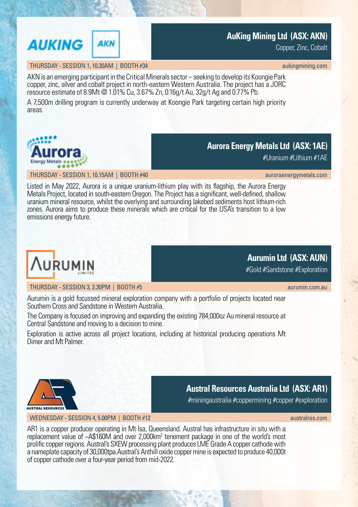### **AuKing Mining Ltd (ASX: AKN)**

Copper, Zinc, Cobalt

### THURSDAY - SESSION 1, 10.30AM | BOOTH #34 [aukingmining.com](https://www.aukingmining.com/site/content/)

**AKN** 

AKN is an emerging participant in the Critical Minerals sector – seeking to develop its Koongie Park copper, zinc, silver and cobalt project in north-eastern Western Australia. The project has a JORC resource estimate of 8.9Mt @ 1.01% Cu, 3.67% Zn, 0.16g/t Au, 32g/t Ag and 0.77% Pb.

A 7,500m drilling program is currently underway at Koongie Park targeting certain high priority areas.



 $#$ I Iranium  $#$ I ithium  $#$ 1AF

THURSDAY - SESSION 1, 10.15AM | BOOTH #40 [auroraenergymetals.com](http://auroraenergymetals.com)

Listed in May 2022, Aurora is a unique uranium-lithium play with its flagship, the Aurora Energy Metals Project, located in south-eastern Oregon. The Project has a significant, well-defined, shallow uranium mineral resource, whilst the overlying and surrounding lakebed sediments host lithium-rich zones. Aurora aims to produce these minerals which are critical for the USA's transition to a low emissions energy future.

### THURSDAY - SESSION 3, 2.30PM | BOOTH #5

Aurumin is a gold focussed mineral exploration company with a portfolio of projects located near Southern Cross and Sandstone in Western Australia.

The Company is focused on improving and expanding the existing 784,000oz Au mineral resource at Central Sandstone and moving to a decision to mine.

Exploration is active across all project locations, including at historical producing operations Mt Dimer and Mt Palmer.



### **Austral Resources Australia Ltd (ASX: AR1)**

#miningaustralia #coppermining #copper #exploration

### WEDNESDAY - SESSION 4, 5.00PM | BOOTH #12 [australres.com](http://australres.com) and australres.com australres.com

AR1 is a copper producer operating in Mt Isa, Queensland. Austral has infrastructure in situ with a replacement value of ~A\$160M and over 2,000km<sup>2</sup> tenement package in one of the world's most prolific copper regions. Austral's SXEW processing plant produces LME Grade A copper cathode with a nameplate capacity of 30,000tpa.Austral's Anthill oxide copper mine is expected to produce 40,000t of copper cathode over a four-year period from mid-2022.



**AUKING** 



### **Aurumin Ltd (ASX: AUN)**

#Gold #Sandstone #Exploration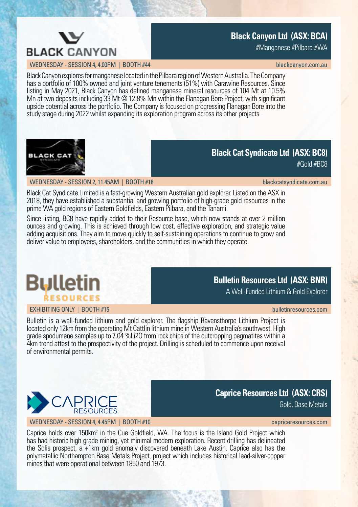

### **Black Canyon Ltd (ASX: BCA)**

#Manganese #Pilbara #WA

WEDNESDAY - SESSION 4, 4.00PM | BOOTH #44 [blackcanyon.com.au](https://blackcanyon.com.au/) blackcanyon.com.au

Black Canyon explores for manganese located in the Pilbara region of Western Australia. The Company has a portfolio of 100% owned and joint venture tenements (51%) with Carawine Resources. Since listing in May 2021, Black Canyon has defined manganese mineral resources of 104 Mt at 10.5% Mn at two deposits including 33 Mt @ 12.8% Mn within the Flanagan Bore Project, with significant upside potential across the portfolio. The Company is focused on progressing Flanagan Bore into the study stage during 2022 whilst expanding its exploration program across its other projects.



### **Black Cat Syndicate Ltd (ASX: BC8)**

#Gold #BC8

### WEDNESDAY - SESSION 2, 11.45AM | BOOTH #18 [blackcatsyndicate.com.au](https://www.blackcatsyndicate.com.au/) blackcatsyndicate.com.au

Black Cat Syndicate Limited is a fast-growing Western Australian gold explorer. Listed on the ASX in 2018, they have established a substantial and growing portfolio of high-grade gold resources in the prime WA gold regions of Eastern Goldfields, Eastern Pilbara, and the Tanami.

Since listing, BC8 have rapidly added to their Resource base, which now stands at over 2 million ounces and growing. This is achieved through low cost, effective exploration, and strategic value adding acquisitions. They aim to move quickly to self-sustaining operations to continue to grow and deliver value to employees, shareholders, and the communities in which they operate.

### **Bulletin ŔESOURCES**

### EXHIBITING ONLY | BOOTH #15 [bulletinresources.com](https://www.bulletinresources.com/)

### **Bulletin Resources Ltd (ASX: BNR)**

A Well-Funded Lithium & Gold Explorer

Bulletin is a well-funded lithium and gold explorer. The flagship Ravensthorpe Lithium Project is located only 12km from the operating Mt Cattlin lithium mine in Western Australia's southwest. High grade spodumene samples up to 7.04 %Li2O from rock chips of the outcropping pegmatites within a 4km trend attest to the prospectivity of the project. Drilling is scheduled to commence upon receival of environmental permits.



### **Caprice Resources Ltd (ASX: CRS)**

Gold, Base Metals

WEDNESDAY - SESSION 4, 4,45PM | BOOTH #10 capriceres companies and [capriceresources.com](https://www.capriceresources.com/)

Caprice holds over 150km<sup>2</sup> in the Cue Goldfield, WA. The focus is the Island Gold Project which has had historic high grade mining, yet minimal modern exploration. Recent drilling has delineated the Solis prospect, a +1km gold anomaly discovered beneath Lake Austin. Caprice also has the polymetallic Northampton Base Metals Project, project which includes historical lead-silver-copper mines that were operational between 1850 and 1973.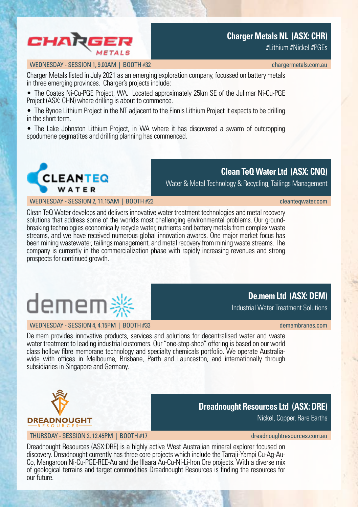

### **Charger Metals NL (ASX: CHR)**

#Lithium #Nickel #PGEs

### WEDNESDAY - SESSION 1,9.00AM | BOOTH #32 [chargermetals.com.au](https://chargermetals.com.au/).

Charger Metals listed in July 2021 as an emerging exploration company, focussed on battery metals in three emerging provinces. Charger's projects include:

• The Coates Ni-Cu-PGE Project, WA. Located approximately 25km SE of the Julimar Ni-Cu-PGE Project (ASX: CHN) where drilling is about to commence.

• The Bynoe Lithium Project in the NT adjacent to the Finnis Lithium Project it expects to be drilling in the short term.

• The Lake Johnston Lithium Project, in WA where it has discovered a swarm of outcropping spodumene pegmatites and drilling planning has commenced.



**Clean TeQ Water Ltd (ASX: CNQ)**

Water & Metal Technology & Recycling, Tailings Management

WEDNESDAY - SESSION 2, 11.15AM | BOOTH #23 [cleanteqwater.com](https://www.cleanteqwater.com/)

Clean TeQ Water develops and delivers innovative water treatment technologies and metal recovery solutions that address some of the world's most challenging environmental problems. Our groundbreaking technologies economically recycle water, nutrients and battery metals from complex waste streams, and we have received numerous global innovation awards. One major market focus has been mining wastewater, tailings management, and metal recovery from mining waste streams. The company is currently in the commercialization phase with rapidly increasing revenues and strong prospects for continued growth.

## demem\*

### WEDNESDAY - SESSION 4, 4.15PM | BOOTH #33 [demembranes.com](https://demembranes.com/) demembranes.com

**De.mem Ltd (ASX: DEM)**

Industrial Water Treatment Solutions

De.mem provides innovative products, services and solutions for decentralised water and waste water treatment to leading industrial customers. Our "one-stop-shop" offering is based on our world class hollow fibre membrane technology and specialty chemicals portfolio. We operate Australiawide with offices in Melbourne, Brisbane, Perth and Launceston, and internationally through subsidiaries in Singapore and Germany.



### **Dreadnought Resources Ltd (ASX: DRE)**

Nickel, Copper, Rare Earths

THURSDAY - SESSION 2, 12.45PM | BOOTH #17 [dreadnoughtresources.com.au](https://www.dreadnoughtresources.com.au/) dreadnoughtresources.com.au

Dreadnought Resources (ASX:DRE) is a highly active West Australian mineral explorer focused on discovery. Dreadnought currently has three core projects which include the Tarraji-Yampi Cu-Ag-Au-Co, Mangaroon Ni-Cu-PGE-REE-Au and the Illaara Au-Cu-Ni-Li-Iron Ore projects. With a diverse mix of geological terrains and target commodities Dreadnought Resources is finding the resources for our future.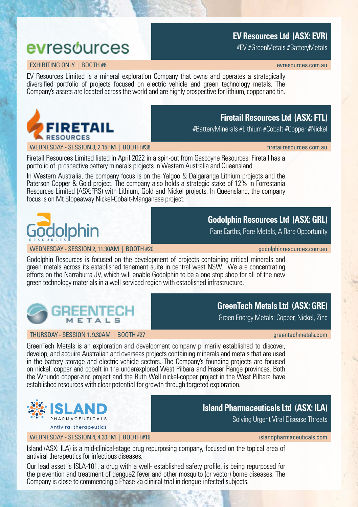### **EV Resources Ltd (ASX: EVR)**

#EV #GreenMetals #BatteryMetals

### evresources EXHIBITING ONLY | BOOTH #6 extraordio and the state of the state of the state of the state of the state of the state of the state of the state of the state of the state of the state of the state of the state of the state o

EV Resources Limited is a mineral exploration Company that owns and operates a strategically diversified portfolio of projects focused on electric vehicle and green technology metals. The Company's assets are located across the world and are highly prospective for lithium, copper and tin.



### **Firetail Resources Ltd (ASX: FTL)**

#BatteryMinerals #Lithium #Cobalt #Copper #Nickel

WEDNESDAY - SESSION 3, 2.15PM | BOOTH #38 [firetailresources.com.au](https://www.firetailresources.com.au/) firetailresources.com.au

Firetail Resources Limited listed in April 2022 in a spin-out from Gascoyne Resources. Firetail has a portfolio of prospective battery minerals projects in Western Australia and Queensland.

In Western Australia, the company focus is on the Yalgoo & Dalgaranga Lithium projects and the Paterson Copper & Gold project. The company also holds a strategic stake of 12% in Forrestania Resources Limited (ASX:FRS) with Lithium, Gold and Nickel projects. In Queensland, the company focus is on Mt Slopeaway Nickel-Cobalt-Manganese project.



### **Godolphin Resources Ltd (ASX: GRL)**

Rare Earths, Rare Metals, A Rare Opportunity

WEDNESDAY - SESSION 2, 11.30AM | BOOTH #20 [godolphinresources.com.au](https://godolphinresources.com.au/)

Godolphin Resources is focused on the development of projects containing critical minerals and green metals across its established tenement suite in central west NSW. We are concentrating efforts on the Narraburra JV, which will enable Godolphin to be a one stop shop for all of the new green technology materials in a well serviced region with established infrastructure.



### THURSDAY - SESSION 1, 9.30AM | BOOTH #27 GREEN COMPANY CONTROLLEDGE COMPANY Greentechmetals.com

### **GreenTech Metals Ltd (ASX: GRE)**

Green Energy Metals: Copper, Nickel, Zinc

**Island Pharmaceuticals Ltd (ASX: ILA)**

GreenTech Metals is an exploration and development company primarily established to discover, develop, and acquire Australian and overseas projects containing minerals and metals that are used in the battery storage and electric vehicle sectors. The Company's founding projects are focused on nickel, copper and cobalt in the underexplored West Pilbara and Fraser Range provinces. Both the Whundo copper-zinc project and the Ruth Well nickel-copper project in the West Pilbara have established resources with clear potential for growth through targeted exploration.



### **Antiviral therapeutics**

### WEDNESDAY - SESSION 4.4.30PM | BOOTH #19 [islandpharmaceuticals.com](https://www.islandpharmaceuticals.com/site/content/)

Solving Urgent Viral Disease Threats

Island (ASX: ILA) is a mid-clinical-stage drug repurposing company, focused on the topical area of antiviral therapeutics for infectious diseases.

Our lead asset is ISLA-101, a drug with a well- established safety profile, is being repurposed for the prevention and treatment of dengue2 fever and other mosquito (or vector) borne diseases. The Company is close to commencing a Phase 2a clinical trial in dengue-infected subjects.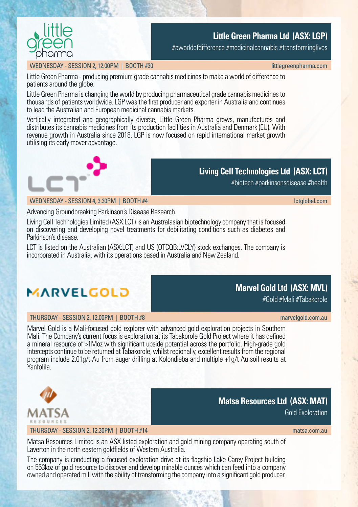

### **Little Green Pharma Ltd (ASX: LGP)**

#aworldofdifference #medicinalcannabis #transforminglives

### WEDNESDAY - SESSION 2, 12.00PM | BOOTH #30 little and the state of the state of the state of the state of the state of the state of the state of the state of the state of the state of the state of the state of the state of

Little Green Pharma - producing premium grade cannabis medicines to make a world of difference to patients around the globe.

Little Green Pharma is changing the world by producing pharmaceutical grade cannabis medicines to thousands of patients worldwide. LGP was the first producer and exporter in Australia and continues to lead the Australian and European medicinal cannabis markets.

Vertically integrated and geographically diverse, Little Green Pharma grows, manufactures and distributes its cannabis medicines from its production facilities in Australia and Denmark (EU). With revenue growth in Australia since 2018, LGP is now focused on rapid international market growth utilising its early mover advantage.



### **Living Cell Technologies Ltd (ASX: LCT)**

#biotech #parkinsonsdisease #health

WEDNESDAY - SESSION 4, 3.30PM | BOOTH #4 [lctglobal.com](https://lctglobal.com/)

Advancing Groundbreaking Parkinson's Disease Research.

Living Cell Technologies Limited (ASX:LCT) is an Australasian biotechnology company that is focused on discovering and developing novel treatments for debilitating conditions such as diabetes and Parkinson's disease.

LCT is listed on the Australian (ASX:LCT) and US (OTCQB:LVCLY) stock exchanges. The company is incorporated in Australia, with its operations based in Australia and New Zealand.



### THURSDAY - SESSION 2, 12.00PM | BOOTH #8 [marvelgold.com.au](https://marvelgold.com.au/) marvelgold.com.au marvelgold.com.au

Marvel Gold is a Mali-focused gold explorer with advanced gold exploration projects in Southern Mali. The Company's current focus is exploration at its Tabakorole Gold Project where it has defined a mineral resource of >1Moz with significant upside potential across the portfolio. High-grade gold intercepts continue to be returned at Tabakorole, whilst regionally, excellent results from the regional program include 2.01g/t Au from auger drilling at Kolondieba and multiple +1g/t Au soil results at Yanfolila.



### THURSDAY - SESSION 2.12.30PM | BOOTH #14 [matsa.com.au](https://www.matsa.com.au/) matsa.com.au matsa.com.au

Gold Exploration

Matsa Resources Limited is an ASX listed exploration and gold mining company operating south of Laverton in the north eastern goldfields of Western Australia.

The company is conducting a focused exploration drive at its flagship Lake Carey Project building on 553koz of gold resource to discover and develop minable ounces which can feed into a company owned and operated mill with the ability of transforming the company into a significant gold producer.

### **Marvel Gold Ltd (ASX: MVL)**

**Matsa Resources Ltd (ASX: MAT)**

#Gold #Mali #Tabakorole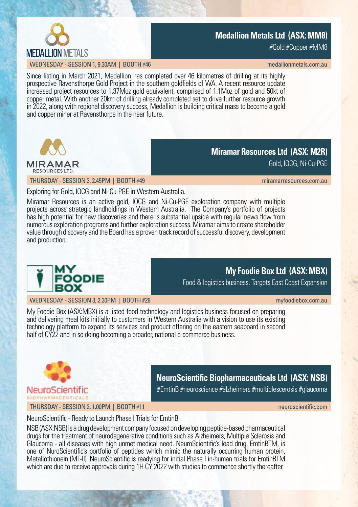

### **Medallion Metals Ltd (ASX: MM8)**

#Gold #Copper #MM8

WEDNESDAY - SESSION 1, 9.30AM | BOOTH #46

Since listing in March 2021, Medallion has completed over 46 kilometres of drilling at its highly prospective Ravensthorpe Gold Project in the southern goldfields of WA. A recent resource update increased project resources to 1.37Moz gold equivalent, comprised of 1.1Moz of gold and 50kt of copper metal. With another 20km of drilling already completed set to drive further resource growth in 2022, along with regional discovery success, Medallion is building critical mass to become a gold and copper miner at Ravensthorpe in the near future.



**Miramar Resources Ltd (ASX: M2R)**

Gold, IOCG, Ni-Cu-PGE

THURSDAY - SESSION 3, 2.45PM | BOOTH #49 [miramarresources.com.au](https://www.miramarresources.com.au/) miramarresources.com.au

Exploring for Gold, IOCG and Ni-Cu-PGE in Western Australia.

Miramar Resources is an active gold, IOCG and Ni-Cu-PGE exploration company with multiple projects across strategic landholdings in Western Australia. The Company's portfolio of projects has high potential for new discoveries and there is substantial upside with regular news flow from numerous exploration programs and further exploration success. Miramar aims to create shareholder value through discovery and the Board has a proven track record of successful discovery, development and production.



**My Foodie Box Ltd (ASX: MBX)**

Food & logistics business, Targets East Coast Expansion

WEDNESDAY - SESSION 3, 2.30PM | BOOTH #29 [myfoodiebox.com.au](https://www.myfoodiebox.com.au/) myfoodiebox.com.au

My Foodie Box (ASX:MBX) is a listed food technology and logistics business focused on preparing and delivering meal kits initially to customers in Western Australia with a vision to use its existing technology platform to expand its services and product offering on the eastern seaboard in second half of CY22 and in so doing becoming a broader, national e-commerce business.



**NeuroScientific Biopharmaceuticals Ltd (ASX: NSB)**

#EmtinB #neuroscience #alzheimers #multiplescerosis #glaucoma

THURSDAY - SESSION 2, 1.00PM | BOOTH #11 [neuroscientific.com](https://neuroscientific.com/)

NeuroScientific - Ready to Launch Phase I Trials for EmtinB

NSB (ASX:NSB) is a drug development company focused on developing peptide-based pharmaceutical drugs for the treatment of neurodegenerative conditions such as Alzheimers, Multiple Sclerosis and Glaucoma - all diseases with high unmet medical need. NeuroScientific's lead drug, EmtinBTM, is one of NuroScientific's portfolio of peptides which mimic the naturally occurring human protein, Metallothionein (MT-II). NeuroScientific is readying for initial Phase I in-human trials for EmtinBTM which are due to receive approvals during 1H CY 2022 with studies to commence shortly thereafter.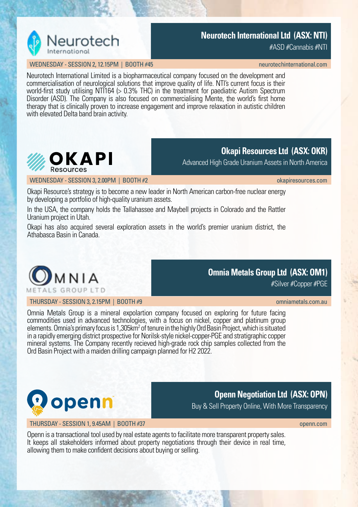

### **Neurotech International Ltd (ASX: NTI)**

#ASD #Cannabis #NTI

### WEDNESDAY - SESSION 2, 12.15PM | BOOTH #45

Neurotech International Limited is a biopharmaceutical company focused on the development and commercialisation of neurological solutions that improve quality of life. NTI's current focus is their world-first study utilising NTI164 (> 0.3% THC) in the treatment for paediatric Autism Spectrum Disorder (ASD). The Company is also focused on commercialising Mente, the world's first home therapy that is clinically proven to increase engagement and improve relaxation in autistic children with elevated Delta band brain activity.



### **Okapi Resources Ltd (ASX: OKR)**

Advanced High Grade Uranium Assets in North America

WEDNESDAY - SESSION 3, 2.00PM | BOOTH #2 [okapiresources.com](https://www.okapiresources.com/)

Okapi Resource's strategy is to become a new leader in North American carbon-free nuclear energy by developing a portfolio of high-quality uranium assets.

In the USA, the company holds the Tallahassee and Maybell projects in Colorado and the Rattler Uranium project in Utah.

Okapi has also acquired several exploration assets in the world's premier uranium district, the Athabasca Basin in Canada.



THURSDAY - SESSION 3, 2.15PM | BOOTH #9 [omniametals.com.au](https://omniametals.com.au/)

**Omnia Metals Group Ltd (ASX: OM1)**

#Silver #Copper #PGE

Omnia Metals Group is a mineral expolartion company focused on exploring for future facing commodities used in advanced technologies, with a focus on nickel, copper and platinum group elements. Omnia's primary focus is 1,305km<sup>2</sup> of tenure in the highly Ord Basin Project, which is situated in a rapidly emerging district prospective for Norilsk-style nickel-copper-PGE and stratigraphic copper mineral systems. The Company recently recieved high-grade rock chip samples collected from the Ord Basin Project with a maiden drilling campaign planned for H2 2022.



### **Openn Negotiation Ltd (ASX: OPN)**

Buy & Sell Property Online, With More Transparency

THURSDAY - SESSION 1, 9.45AM | BOOTH #37 [openn.com](https://www.openn.com/en-au/)

Openn is a transactional tool used by real estate agents to facilitate more transparent property sales. It keeps all stakeholders informed about property negotiations through their device in real time, allowing them to make confident decisions about buying or selling.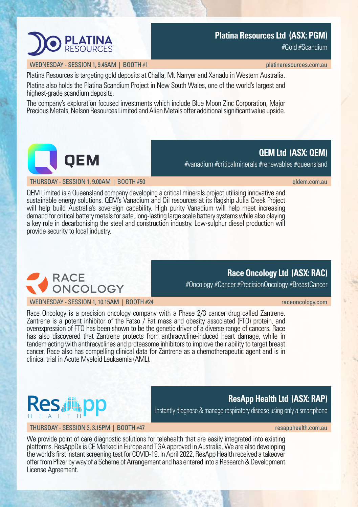### **Platina Resources Ltd (ASX: PGM)**

#Gold #Scandium

**QEM Ltd (ASX: QEM)**

### WEDNESDAY - SESSION 1, 9.45AM | BOOTH #1 [platinaresources.com.au](https://platinaresources.com.au/) platinaresources.com.au

**PLATINA** 

Platina Resources is targeting gold deposits at Challa, Mt Narryer and Xanadu in Western Australia.

Platina also holds the Platina Scandium Project in New South Wales, one of the world's largest and highest-grade scandium deposits.

The company's exploration focused investments which include Blue Moon Zinc Corporation, Major Precious Metals, Nelson Resources Limited and Alien Metals offer additional significant value upside.

QEM Limited is a Queensland company developing a critical minerals project utilising innovative and sustainable energy solutions. QEM's Vanadium and Oil resources at its flagship Julia Creek Project will help build Australia's sovereign capability. High purity Vanadium will help meet increasing demand for critical battery metals for safe, long-lasting large scale battery systems while also playing a key role in decarbonising the steel and construction industry. Low-sulphur diesel production will provide security to local industry.

### **Race Oncology Ltd (ASX: RAC)**

#Oncology #Cancer #PrecisionOncology #BreastCancer

#vanadium #criticalminerals #renewables #queensland

### **ResApp Health Ltd (ASX: RAP)**<br>
Instantly diagnose & manage respiratory disease using only a smartphone 8 L T H

### THURSDAY - SESSION 3.3.15PM | BOOTH #47 [resapphealth.com.au](https://www.resapphealth.com.au/) resapphealth.com.au

We provide point of care diagnostic solutions for telehealth that are easily integrated into existing platforms. ResAppDx is CE Marked in Europe and TGA approved in Australia. We are also developing the world's first instant screening test for COVID-19. In April 2022, ResApp Health received a takeover offer from Pfizer by way of a Scheme of Arrangement and has entered into a Research & Development License Agreement.

### **RACE** ONCOLOGY WEDNESDAY - SESSION 1.10.15AM | BOOTH #24 [raceoncology.com](https://www.raceoncology.com/) | control and the control of the control of the control of the control of the control of the control of the control of the control of the control of the control of

Race Oncology is a precision oncology company with a Phase 2/3 cancer drug called Zantrene. Zantrene is a potent inhibitor of the Fatso  $/$  Fat mass and obesity associated (FTO) protein, and overexpression of FTO has been shown to be the genetic driver of a diverse range of cancers. Race has also discovered that Zantrene protects from anthracycline-induced heart damage, while in tandem acting with anthracyclines and proteasome inhibitors to improve their ability to target breast cancer. Race also has compelling clinical data for Zantrene as a chemotherapeutic agent and is in clinical trial in Acute Myeloid Leukaemia (AML).







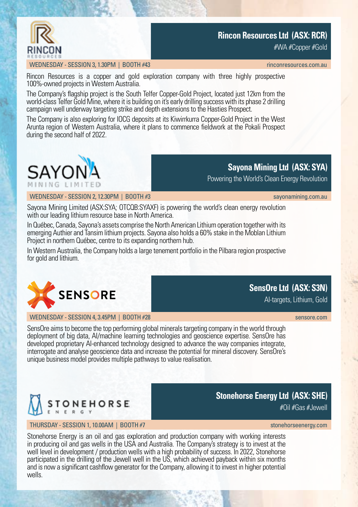

### **Rincon Resources Ltd (ASX: RCR)**

#WA #Copper #Gold

### WEDNESDAY - SESSION 3.1.30PM | BOOTH #43 [rinconresources.com.au](https://www.rinconresources.com.au/) rinconresources.com.au

Rincon Resources is a copper and gold exploration company with three highly prospective 100%-owned projects in Western Australia.

The Company's flagship project is the South Telfer Copper-Gold Project, located just 12km from the world-class Telfer Gold Mine, where it is building on it's early drilling success with its phase 2 drilling campaign well underway targeting strike and depth extensions to the Hasties Prospect.

The Company is also exploring for IOCG deposits at its Kiwirrkurra Copper-Gold Project in the West Arunta region of Western Australia, where it plans to commence fieldwork at the Pokali Prospect during the second half of 2022.



### **Sayona Mining Ltd (ASX: SYA)**

Powering the World's Clean Energy Revolution

WEDNESDAY - SESSION 2, 12.30PM | BOOTH #3 [sayonamining.com.au](http://www.sayonamining.com.au/) sayonamining.com.au

**SensOre Ltd (ASX: S3N)** AI-targets, Lithium, Gold

Sayona Mining Limited (ASX:SYA; OTCQB:SYAXF) is powering the world's clean energy revolution with our leading lithium resource base in North America.

In Québec, Canada, Sayona's assets comprise the North American Lithium operation together with its emerging Authier and Tansim lithium projects. Sayona also holds a 60% stake in the Moblan Lithium Project in northern Québec, centre to its expanding northern hub.

In Western Australia, the Company holds a large tenement portfolio in the Pilbara region prospective for gold and lithium.



WEDNESDAY - SESSION 4, 3,45PM | BOOTH #28 [sensore.com](https://sensore.com/) sensore.com sensore.com sensore.com

SensOre aims to become the top performing global minerals targeting company in the world through deployment of big data, AI/machine learning technologies and geoscience expertise. SensOre has developed proprietary AI-enhanced technology designed to advance the way companies integrate, interrogate and analyse geoscience data and increase the potential for mineral discovery. SensOre's unique business model provides multiple pathways to value realisation.



### THURSDAY - SESSION 1, 10.00AM | BOOTH #7 stone horse in the stone [stonehorseenergy.com](https://stonehorseenergy.com/)

### **Stonehorse Energy Ltd (ASX: SHE)**

#Oil #Gas #Jewell

Stonehorse Energy is an oil and gas exploration and production company with working interests in producing oil and gas wells in the USA and Australia. The Company's strategy is to invest at the well level in development / production wells with a high probability of success. In 2022, Stonehorse participated in the drilling of the Jewell well in the US, which achieved payback within six months and is now a significant cashflow generator for the Company, allowing it to invest in higher potential wells.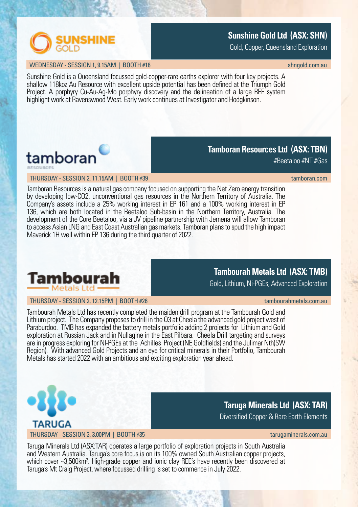

### **Sunshine Gold Ltd (ASX: SHN)**

Gold, Copper, Queensland Exploration

### WEDNESDAY - SESSION 1, 9.15AM | BOOTH #16 [shngold.com.au](http://www.shngold.com.au/) shngold.com.au shngold.com.au shngold.com.au

Sunshine Gold is a Queensland focussed gold-copper-rare earths explorer with four key projects. A shallow 118koz Au Resource with excellent upside potential has been defined at the Triumph Gold Project. A porphyry Cu-Au-Aq-Mo porphyry discovery and the delineation of a large REE system highlight work at Ravenswood West. Early work continues at Investigator and Hodgkinson.



### THURSDAY - SESSION 2, 11.15AM | BOOTH #39 [tamboran.com](https://www.tamboran.com/) | tamboran.com | tamboran.com | tamboran.com | tamboran.com

#Beetaloo #NT #Gas

**Tamboran Resources Ltd (ASX: TBN)**

Tamboran Resources is a natural gas company focused on supporting the Net Zero energy transition by developing low-CO2, unconventional gas resources in the Northern Territory of Australia. The Company's assets include a 25% working interest in EP 161 and a 100% working interest in EP 136, which are both located in the Beetaloo Sub-basin in the Northern Territory, Australia. The development of the Core Beetaloo, via a JV pipeline partnership with Jemena will allow Tamboran to access Asian LNG and East Coast Australian gas markets. Tamboran plans to spud the high impact Maverick 1H well within EP 136 during the third quarter of 2022.



### **Tambourah Metals Ltd (ASX: TMB)**

Gold, Lithium, Ni-PGEs, Advanced Exploration

THURSDAY - SESSION 2, 12.15PM | BOOTH #26 [tambourahmetals.com.au](https://tambourahmetals.com.au/) tambourahmetals.com.au

Tambourah Metals Ltd has recently completed the maiden drill program at the Tambourah Gold and Lithium project. The Company proposes to drill in the Q3 at Cheela the advanced gold project west of Paraburdoo. TMB has expanded the battery metals portfolio adding 2 projects for Lithium and Gold exploration at Russian Jack and in Nullagine in the East Pilbara. Cheela Drill targeting and surveys are in progress exploring for NI-PGEs at the Achilles Project (NE Goldfields) and the Julimar Nth(SW Region). With advanced Gold Projects and an eye for critical minerals in their Portfolio, Tambourah Metals has started 2022 with an ambitious and exciting exploration year ahead.



**Taruga Minerals Ltd (ASX: TAR)**

Diversified Copper & Rare Earth Elements

Taruga Minerals Ltd (ASX:TAR) operates a large portfolio of exploration projects in South Australia and Western Australia. Taruga's core focus is on its 100% owned South Australian copper projects, which cover ~3,500km<sup>2</sup>. High-grade copper and ionic clay REE's have recently been discovered at Taruga's Mt Craig Project, where focussed drilling is set to commence in July 2022.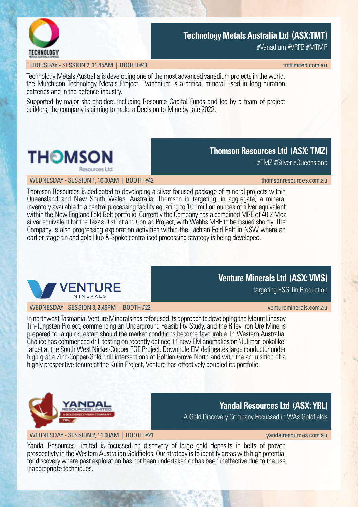

### **Technology Metals Australia Ltd (ASX:TMT)**

#Vanadium #VRFB #MTMP

### THURSDAY - SESSION 2, 11.45AM | BOOTH #41 the second second second second second second second second second second second second second second second second second second second second second second second second second s

Technology Metals Australia is developing one of the most advanced vanadium projects in the world, the Murchison Technology Metals Project. Vanadium is a critical mineral used in long duration batteries and in the defence industry.

Supported by major shareholders including Resource Capital Funds and led by a team of project builders, the company is aiming to make a Decision to Mine by late 2022.



### **Thomson Resources Ltd (ASX: TMZ)**

#TMZ #Silver #Queensland

WEDNESDAY - SESSION 1, 10.00AM | BOOTH #42 [thomsonresources.com.au](https://www.thomsonresources.com.au/) thomsonresources.com.au

Thomson Resources is dedicated to developing a silver focused package of mineral projects within Queensland and New South Wales, Australia. Thomson is targeting, in aggregate, a mineral inventory available to a central processing facility equating to 100 million ounces of silver equivalent within the New England Fold Belt portfolio. Currently the Company has a combined MRE of 40.2 Moz silver equivalent for the Texas District and Conrad Project, with Webbs MRE to be issued shortly. The Company is also progressing exploration activities within the Lachlan Fold Belt in NSW where an earlier stage tin and gold Hub & Spoke centralised processing strategy is being developed.



WEDNESDAY - SESSION 3, 2.45PM | BOOTH #22

### **Venture Minerals Ltd (ASX: VMS)**

Targeting ESG Tin Production

In northwest Tasmania, Venture Minerals has refocused its approach to developing the Mount Lindsay Tin-Tungsten Project, commencing an Underground Feasibility Study, and the Riley Iron Ore Mine is prepared for a quick restart should the market conditions become favourable. In Western Australia, Chalice has commenced drill testing on recently defined 11 new EM anomalies on 'Julimar lookalike' target at the South West Nickel-Copper PGE Project. Downhole EM delineates large conductor under high grade Zinc-Copper-Gold drill intersections at Golden Grove North and with the acquisition of a highly prospective tenure at the Kulin Project, Venture has effectively doubled its portfolio.



### **Yandal Resources Ltd (ASX: YRL)**

A Gold Discovery Company Focussed in WA's Goldfields

WEDNESDAY - SESSION 2, 11.00AM | BOOTH #21 [yandalresources.com.au](https://www.yandalresources.com.au/) yandalresources.com.au

Yandal Resources Limited is focussed on discovery of large gold deposits in belts of proven prospectivty in the Western Australian Goldfields. Our strategy is to identify areas with high potential for discovery where past exploration has not been undertaken or has been ineffective due to the use inappropriate techniques.